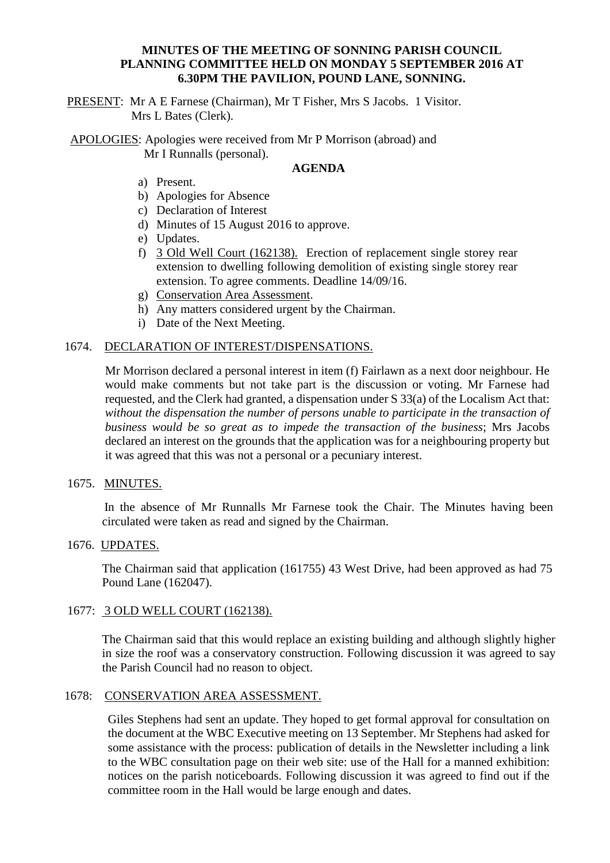# **MINUTES OF THE MEETING OF SONNING PARISH COUNCIL PLANNING COMMITTEE HELD ON MONDAY 5 SEPTEMBER 2016 AT 6.30PM THE PAVILION, POUND LANE, SONNING.**

PRESENT: Mr A E Farnese (Chairman), Mr T Fisher, Mrs S Jacobs. 1 Visitor. Mrs L Bates (Clerk).

APOLOGIES: Apologies were received from Mr P Morrison (abroad) and Mr I Runnalls (personal).

## **AGENDA**

- a) Present.
- b) Apologies for Absence
- c) Declaration of Interest
- d) Minutes of 15 August 2016 to approve.
- e) Updates.
- f) 3 Old Well Court (162138). Erection of replacement single storey rear extension to dwelling following demolition of existing single storey rear extension. To agree comments. Deadline 14/09/16.
- g) Conservation Area Assessment.
- h) Any matters considered urgent by the Chairman.
- i) Date of the Next Meeting.

## 1674. DECLARATION OF INTEREST/DISPENSATIONS.

Mr Morrison declared a personal interest in item (f) Fairlawn as a next door neighbour. He would make comments but not take part is the discussion or voting. Mr Farnese had requested, and the Clerk had granted, a dispensation under S 33(a) of the Localism Act that: *without the dispensation the number of persons unable to participate in the transaction of business would be so great as to impede the transaction of the business*; Mrs Jacobs declared an interest on the grounds that the application was for a neighbouring property but it was agreed that this was not a personal or a pecuniary interest.

#### 1675. MINUTES.

In the absence of Mr Runnalls Mr Farnese took the Chair. The Minutes having been circulated were taken as read and signed by the Chairman.

#### 1676. UPDATES.

The Chairman said that application (161755) 43 West Drive, had been approved as had 75 Pound Lane (162047).

## 1677: 3 OLD WELL COURT (162138).

The Chairman said that this would replace an existing building and although slightly higher in size the roof was a conservatory construction. Following discussion it was agreed to say the Parish Council had no reason to object.

#### 1678: CONSERVATION AREA ASSESSMENT.

Giles Stephens had sent an update. They hoped to get formal approval for consultation on the document at the WBC Executive meeting on 13 September. Mr Stephens had asked for some assistance with the process: publication of details in the Newsletter including a link to the WBC consultation page on their web site: use of the Hall for a manned exhibition: notices on the parish noticeboards. Following discussion it was agreed to find out if the committee room in the Hall would be large enough and dates.